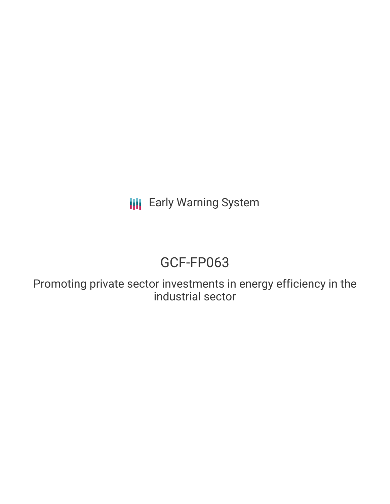**III** Early Warning System

# GCF-FP063

Promoting private sector investments in energy efficiency in the industrial sector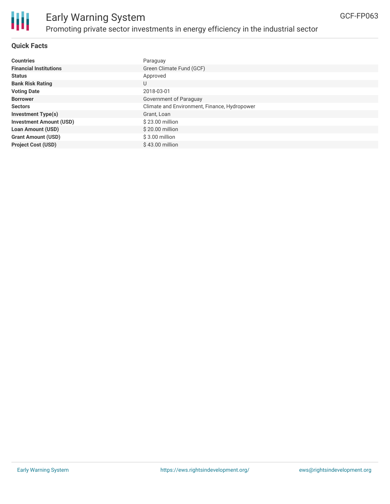

### Early Warning System Promoting private sector investments in energy efficiency in the industrial sector

#### **Quick Facts**

| <b>Countries</b>               | Paraguay                                     |
|--------------------------------|----------------------------------------------|
|                                |                                              |
| <b>Financial Institutions</b>  | Green Climate Fund (GCF)                     |
| <b>Status</b>                  | Approved                                     |
| <b>Bank Risk Rating</b>        | U                                            |
| <b>Voting Date</b>             | 2018-03-01                                   |
| <b>Borrower</b>                | Government of Paraguay                       |
| <b>Sectors</b>                 | Climate and Environment, Finance, Hydropower |
| <b>Investment Type(s)</b>      | Grant, Loan                                  |
| <b>Investment Amount (USD)</b> | $$23.00$ million                             |
| <b>Loan Amount (USD)</b>       | $$20.00$ million                             |
| <b>Grant Amount (USD)</b>      | $$3.00$ million                              |
| <b>Project Cost (USD)</b>      | $$43.00$ million                             |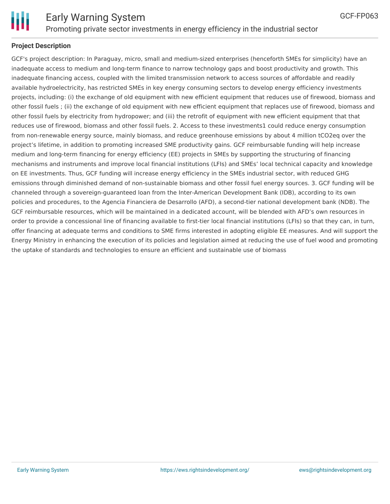

GCF-FP063

#### **Project Description**

GCF's project description: In Paraguay, micro, small and medium-sized enterprises (henceforth SMEs for simplicity) have an inadequate access to medium and long-term finance to narrow technology gaps and boost productivity and growth. This inadequate financing access, coupled with the limited transmission network to access sources of affordable and readily available hydroelectricity, has restricted SMEs in key energy consuming sectors to develop energy efficiency investments projects, including: (i) the exchange of old equipment with new efficient equipment that reduces use of firewood, biomass and other fossil fuels ; (ii) the exchange of old equipment with new efficient equipment that replaces use of firewood, biomass and other fossil fuels by electricity from hydropower; and (iii) the retrofit of equipment with new efficient equipment that that reduces use of firewood, biomass and other fossil fuels. 2. Access to these investments1 could reduce energy consumption from non-renewable energy source, mainly biomass, and reduce greenhouse emissions by about 4 million tCO2eq over the project's lifetime, in addition to promoting increased SME productivity gains. GCF reimbursable funding will help increase medium and long-term financing for energy efficiency (EE) projects in SMEs by supporting the structuring of financing mechanisms and instruments and improve local financial institutions (LFIs) and SMEs' local technical capacity and knowledge on EE investments. Thus, GCF funding will increase energy efficiency in the SMEs industrial sector, with reduced GHG emissions through diminished demand of non-sustainable biomass and other fossil fuel energy sources. 3. GCF funding will be channeled through a sovereign-guaranteed loan from the Inter-American Development Bank (IDB), according to its own policies and procedures, to the Agencia Financiera de Desarrollo (AFD), a second-tier national development bank (NDB). The GCF reimbursable resources, which will be maintained in a dedicated account, will be blended with AFD's own resources in order to provide a concessional line of financing available to first-tier local financial institutions (LFIs) so that they can, in turn, offer financing at adequate terms and conditions to SME firms interested in adopting eligible EE measures. And will support the Energy Ministry in enhancing the execution of its policies and legislation aimed at reducing the use of fuel wood and promoting the uptake of standards and technologies to ensure an efficient and sustainable use of biomass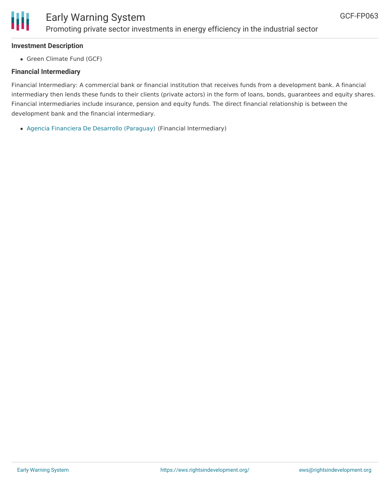

#### **Investment Description**

• Green Climate Fund (GCF)

#### **Financial Intermediary**

Financial Intermediary: A commercial bank or financial institution that receives funds from a development bank. A financial intermediary then lends these funds to their clients (private actors) in the form of loans, bonds, guarantees and equity shares. Financial intermediaries include insurance, pension and equity funds. The direct financial relationship is between the development bank and the financial intermediary.

Agencia Financiera De Desarrollo [\(Paraguay\)](file:///actor/458/) (Financial Intermediary)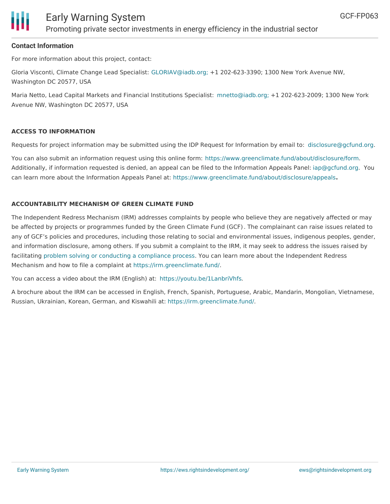

#### **Contact Information**

For more information about this project, contact:

Gloria Visconti, Climate Change Lead Specialist: [GLORIAV@iadb.org;](mailto:GLORIAV@iadb.org;) +1 202-623-3390; 1300 New York Avenue NW, Washington DC 20577, USA

Maria Netto, Lead Capital Markets and Financial Institutions Specialist: [mnetto@iadb.org;](mailto:mnetto@iadb.org;) +1 202-623-2009; 1300 New York Avenue NW, Washington DC 20577, USA

#### **ACCESS TO INFORMATION**

Requests for project information may be submitted using the IDP Request for Information by email to: [disclosure@gcfund.org](mailto:disclosure@gcfund.org).

You can also submit an information request using this online form: <https://www.greenclimate.fund/about/disclosure/form>. Additionally, if information requested is denied, an appeal can be filed to the Information Appeals Panel: [iap@gcfund.org](mailto:iap@gcfund.org). You can learn more about the Information Appeals Panel at: <https://www.greenclimate.fund/about/disclosure/appeals>**.**

#### **ACCOUNTABILITY MECHANISM OF GREEN CLIMATE FUND**

The Independent Redress Mechanism (IRM) addresses complaints by people who believe they are negatively affected or may be affected by projects or programmes funded by the Green Climate Fund (GCF). The complainant can raise issues related to any of GCF's policies and procedures, including those relating to social and environmental issues, indigenous peoples, gender, and information disclosure, among others. If you submit a complaint to the IRM, it may seek to address the issues raised by facilitating problem solving or conducting a [compliance](https://irm.greenclimate.fund/about-the-irm/how-we-work) process. You can learn more about the Independent Redress Mechanism and how to file a complaint at <https://irm.greenclimate.fund/>.

You can access a video about the IRM (English) at: <https://youtu.be/1LanbriVhfs>.

A brochure about the IRM can be accessed in English, French, Spanish, Portuguese, Arabic, Mandarin, Mongolian, Vietnamese, Russian, Ukrainian, Korean, German, and Kiswahili at: <https://irm.greenclimate.fund/>.